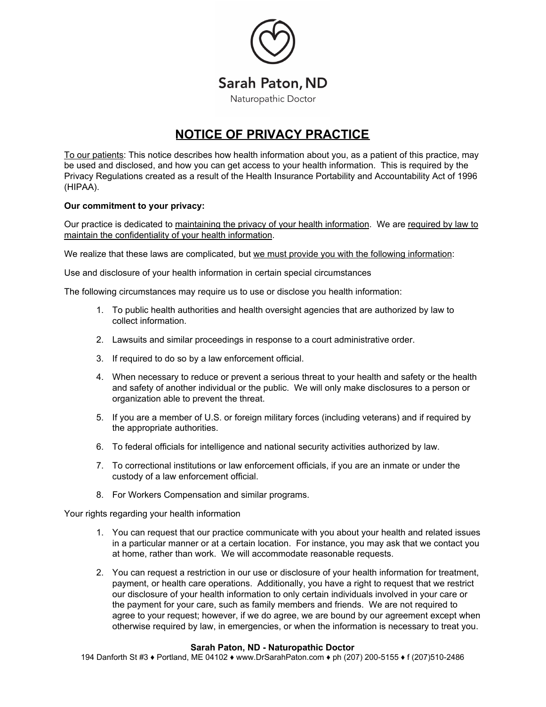

## **NOTICE OF PRIVACY PRACTICE**

To our patients: This notice describes how health information about you, as a patient of this practice, may be used and disclosed, and how you can get access to your health information. This is required by the Privacy Regulations created as a result of the Health Insurance Portability and Accountability Act of 1996 (HIPAA).

## **Our commitment to your privacy:**

Our practice is dedicated to maintaining the privacy of your health information. We are required by law to maintain the confidentiality of your health information.

We realize that these laws are complicated, but we must provide you with the following information:

Use and disclosure of your health information in certain special circumstances

The following circumstances may require us to use or disclose you health information:

- 1. To public health authorities and health oversight agencies that are authorized by law to collect information.
- 2. Lawsuits and similar proceedings in response to a court administrative order.
- 3. If required to do so by a law enforcement official.
- 4. When necessary to reduce or prevent a serious threat to your health and safety or the health and safety of another individual or the public. We will only make disclosures to a person or organization able to prevent the threat.
- 5. If you are a member of U.S. or foreign military forces (including veterans) and if required by the appropriate authorities.
- 6. To federal officials for intelligence and national security activities authorized by law.
- 7. To correctional institutions or law enforcement officials, if you are an inmate or under the custody of a law enforcement official.
- 8. For Workers Compensation and similar programs.

Your rights regarding your health information

- 1. You can request that our practice communicate with you about your health and related issues in a particular manner or at a certain location. For instance, you may ask that we contact you at home, rather than work. We will accommodate reasonable requests.
- 2. You can request a restriction in our use or disclosure of your health information for treatment, payment, or health care operations. Additionally, you have a right to request that we restrict our disclosure of your health information to only certain individuals involved in your care or the payment for your care, such as family members and friends. We are not required to agree to your request; however, if we do agree, we are bound by our agreement except when otherwise required by law, in emergencies, or when the information is necessary to treat you.

## **Sarah Paton, ND - Naturopathic Doctor**

194 Danforth St #3 ♦ Portland, ME 04102 ♦ www.DrSarahPaton.com ♦ ph (207) 200-5155 ♦ f (207)510-2486